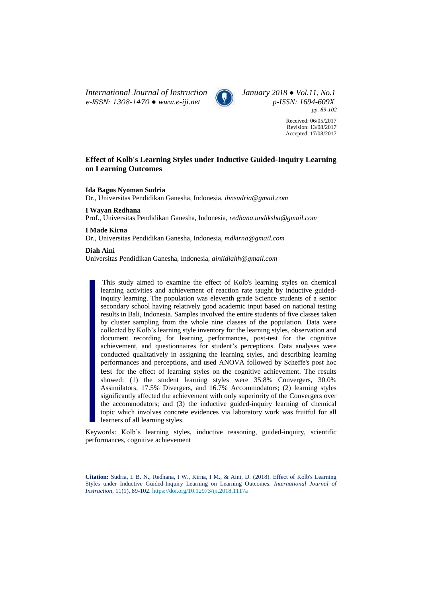*International Journal of Instruction January 2018 ● Vol.11, No.1 e-ISSN: 1308-1470 ● [www.e-iji.net](http://www.e-iji.net/) p-ISSN: 1694-609X*



*pp. 89-102*

Received: 06/05/2017 Revision: 13/08/2017 Accepted: 17/08/2017

# **Effect of Kolb's Learning Styles under Inductive Guided-Inquiry Learning on Learning Outcomes**

**Ida Bagus Nyoman Sudria**

Dr., Universitas Pendidikan Ganesha, Indonesia, *ibnsudria@gmail.com* 

**I Wayan Redhana**

Prof., Universitas Pendidikan Ganesha, Indonesia, *[redhana.undiksha@gmail.com](mailto:redhana.undiksha@gmail.com)*

**I Made Kirna**

Dr., Universitas Pendidikan Ganesha, Indonesia, *[mdkirna@gmail.com](mailto:mdkirna@gmail.com)*

### **Diah Aini**

Universitas Pendidikan Ganesha, Indonesia, *[ainiidiahh@gmail.com](mailto:ainiidiahh@gmail.com)*

This study aimed to examine the effect of Kolb's learning styles on chemical learning activities and achievement of reaction rate taught by inductive guidedinquiry learning. The population was eleventh grade Science students of a senior secondary school having relatively good academic input based on national testing results in Bali, Indonesia. Samples involved the entire students of five classes taken by cluster sampling from the whole nine classes of the population. Data were collected by Kolb's learning style inventory for the learning styles, observation and document recording for learning performances, post-test for the cognitive achievement, and questionnaires for student's perceptions. Data analyses were conducted qualitatively in assigning the learning styles, and describing learning performances and perceptions, and used ANOVA followed by Scheffé's post hoc test for the effect of learning styles on the cognitive achievement. The results showed: (1) the student learning styles were 35.8% Convergers, 30.0% Assimilators, 17.5% Divergers, and 16.7% Accommodators; (2) learning styles significantly affected the achievement with only superiority of the Convergers over the accommodators; and (3) the inductive guided-inquiry learning of chemical topic which involves concrete evidences via laboratory work was fruitful for all learners of all learning styles.

Keywords: Kolb's learning styles, inductive reasoning, guided-inquiry, scientific performances, cognitive achievement

**Citation:** Sudria, I. B. N., Redhana, I W., Kirna, I M., & Aini, D. (2018). Effect of Kolb's Learning Styles under Inductive Guided-Inquiry Learning on Learning Outcomes. *International Journal of Instruction*, 11(1), 89-102. <https://doi.org/10.12973/iji.2018.1117a>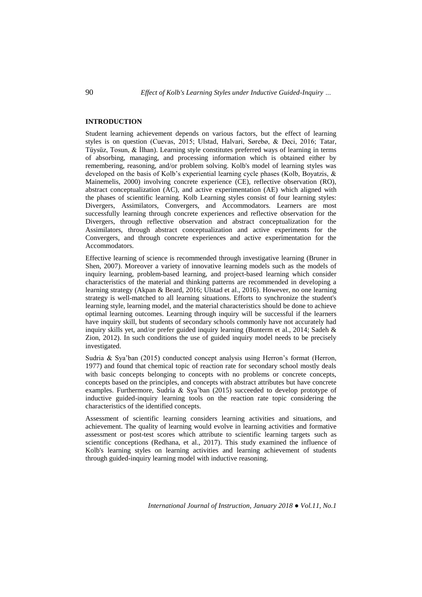### **INTRODUCTION**

Student learning achievement depends on various factors, but the effect of learning styles is on question (Cuevas, 2015; Ulstad, Halvari, Sørebø, & Deci, 2016; Tatar, Tüysüz, Tosun, & İlhan). Learning style constitutes preferred ways of learning in terms of absorbing, managing, and processing information which is obtained either by remembering, reasoning, and/or problem solving. Kolb's model of learning styles was developed on the basis of Kolb's experiential learning cycle phases (Kolb, Boyatzis, & Mainemelis, 2000) involving concrete experience (CE), reflective observation (RO), abstract conceptualization (AC), and active experimentation (AE) which aligned with the phases of scientific learning. Kolb Learning styles consist of four learning styles: Divergers, Assimilators, Convergers, and Accommodators. Learners are most successfully learning through concrete experiences and reflective observation for the Divergers, through reflective observation and abstract conceptualization for the Assimilators, through abstract conceptualization and active experiments for the Convergers, and through concrete experiences and active experimentation for the Accommodators.

Effective learning of science is recommended through investigative learning (Bruner in Shen, 2007). Moreover a variety of innovative learning models such as the models of inquiry learning, problem-based learning, and project-based learning which consider characteristics of the material and thinking patterns are recommended in developing a learning strategy (Akpan & Beard, 2016; Ulstad et al., 2016). However, no one learning strategy is well-matched to all learning situations. Efforts to synchronize the student's learning style, learning model, and the material characteristics should be done to achieve optimal learning outcomes. Learning through inquiry will be successful if the learners have inquiry skill, but students of secondary schools commonly have not accurately had inquiry skills yet, and/or prefer guided inquiry learning (Bunterm et al., 2014; Sadeh & Zion, 2012). In such conditions the use of guided inquiry model needs to be precisely investigated.

Sudria & Sya'ban (2015) conducted concept analysis using Herron's format (Herron, 1977) and found that chemical topic of reaction rate for secondary school mostly deals with basic concepts belonging to concepts with no problems or concrete concepts, concepts based on the principles, and concepts with abstract attributes but have concrete examples. Furthermore, Sudria & Sya'ban (2015) succeeded to develop prototype of inductive guided-inquiry learning tools on the reaction rate topic considering the characteristics of the identified concepts.

Assessment of scientific learning considers learning activities and situations, and achievement. The quality of learning would evolve in learning activities and formative assessment or post-test scores which attribute to scientific learning targets such as scientific conceptions (Redhana, et al., 2017). This study examined the influence of Kolb's learning styles on learning activities and learning achievement of students through guided-inquiry learning model with inductive reasoning.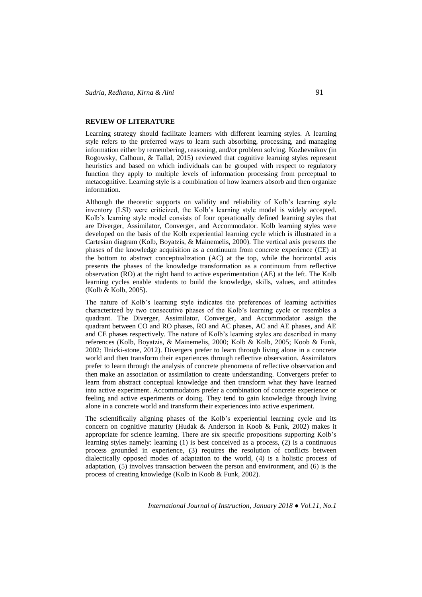### **REVIEW OF LITERATURE**

Learning strategy should facilitate learners with different learning styles. A learning style refers to the preferred ways to learn such absorbing, processing, and managing information either by remembering, reasoning, and/or problem solving. Kozhevnikov (in Rogowsky, Calhoun, & Tallal, 2015) reviewed that cognitive learning styles represent heuristics and based on which individuals can be grouped with respect to regulatory function they apply to multiple levels of information processing from perceptual to metacognitive. Learning style is a combination of how learners absorb and then organize information.

Although the theoretic supports on validity and reliability of Kolb's learning style inventory (LSI) were criticized, the Kolb's learning style model is widely accepted. Kolb's learning style model consists of four operationally defined learning styles that are Diverger, Assimilator, Converger, and Accommodator. Kolb learning styles were developed on the basis of the Kolb experiential learning cycle which is illustrated in a Cartesian diagram (Kolb, Boyatzis, & Mainemelis, 2000). The vertical axis presents the phases of the knowledge acquisition as a continuum from concrete experience (CE) at the bottom to abstract conceptualization (AC) at the top, while the horizontal axis presents the phases of the knowledge transformation as a continuum from reflective observation (RO) at the right hand to active experimentation (AE) at the left. The Kolb learning cycles enable students to build the knowledge, skills, values, and attitudes (Kolb & Kolb, 2005).

The nature of Kolb's learning style indicates the preferences of learning activities characterized by two consecutive phases of the Kolb's learning cycle or resembles a quadrant. The Diverger, Assimilator, Converger, and Accommodator assign the quadrant between CO and RO phases, RO and AC phases, AC and AE phases, and AE and CE phases respectively. The nature of Kolb's learning styles are described in many references (Kolb, Boyatzis, & Mainemelis, 2000; Kolb & Kolb, 2005; Koob & Funk, 2002; Ilnicki-stone, 2012). Divergers prefer to learn through living alone in a concrete world and then transform their experiences through reflective observation. Assimilators prefer to learn through the analysis of concrete phenomena of reflective observation and then make an association or assimilation to create understanding. Convergers prefer to learn from abstract conceptual knowledge and then transform what they have learned into active experiment. Accommodators prefer a combination of concrete experience or feeling and active experiments or doing. They tend to gain knowledge through living alone in a concrete world and transform their experiences into active experiment.

The scientifically aligning phases of the Kolb's experiential learning cycle and its concern on cognitive maturity (Hudak & Anderson in Koob & Funk, 2002) makes it appropriate for science learning. There are six specific propositions supporting Kolb's learning styles namely: learning (1) is best conceived as a process, (2) is a continuous process grounded in experience, (3) requires the resolution of conflicts between dialectically opposed modes of adaptation to the world, (4) is a holistic process of adaptation, (5) involves transaction between the person and environment, and (6) is the process of creating knowledge (Kolb in Koob & Funk, 2002).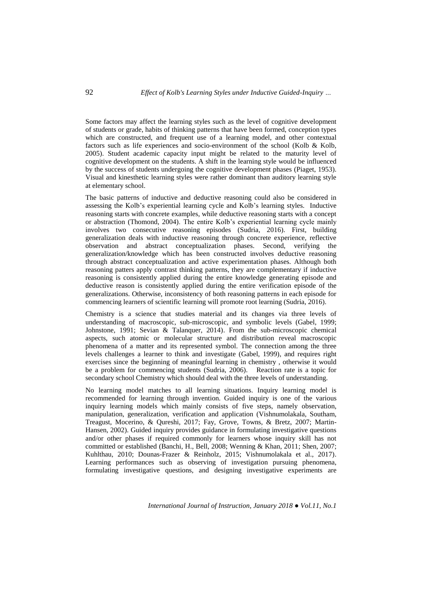Some factors may affect the learning styles such as the level of cognitive development of students or grade, habits of thinking patterns that have been formed, conception types which are constructed, and frequent use of a learning model, and other contextual factors such as life experiences and socio-environment of the school (Kolb & Kolb, 2005). Student academic capacity input might be related to the maturity level of cognitive development on the students. A shift in the learning style would be influenced by the success of students undergoing the cognitive development phases (Piaget, 1953). Visual and kinesthetic learning styles were rather dominant than auditory learning style at elementary school.

The basic patterns of inductive and deductive reasoning could also be considered in assessing the Kolb's experiential learning cycle and Kolb's learning styles. Inductive reasoning starts with concrete examples, while deductive reasoning starts with a concept or abstraction (Thomond, 2004). The entire Kolb's experiential learning cycle mainly involves two consecutive reasoning episodes (Sudria, 2016). First, building generalization deals with inductive reasoning through concrete experience, reflective observation and abstract conceptualization phases. Second, verifying the generalization/knowledge which has been constructed involves deductive reasoning through abstract conceptualization and active experimentation phases. Although both reasoning patters apply contrast thinking patterns, they are complementary if inductive reasoning is consistently applied during the entire knowledge generating episode and deductive reason is consistently applied during the entire verification episode of the generalizations. Otherwise, inconsistency of both reasoning patterns in each episode for commencing learners of scientific learning will promote root learning (Sudria, 2016).

Chemistry is a science that studies material and its changes via three levels of understanding of macroscopic, sub-microscopic, and symbolic levels (Gabel, 1999; Johnstone, 1991; Sevian & Talanquer, 2014). From the sub-microscopic chemical aspects, such atomic or molecular structure and distribution reveal macroscopic phenomena of a matter and its represented symbol. The connection among the three levels challenges a learner to think and investigate (Gabel, 1999), and requires right exercises since the beginning of meaningful learning in chemistry , otherwise it would be a problem for commencing students (Sudria, 2006). Reaction rate is a topic for secondary school Chemistry which should deal with the three levels of understanding.

No learning model matches to all learning situations. Inquiry learning model is recommended for learning through invention. Guided inquiry is one of the various inquiry learning models which mainly consists of five steps, namely observation, manipulation, generalization, verification and application (Vishnumolakala, Southam, Treagust, Mocerino, & Qureshi, 2017; Fay, Grove, Towns, & Bretz, 2007; Martin-Hansen, 2002). Guided inquiry provides guidance in formulating investigative questions and/or other phases if required commonly for learners whose inquiry skill has not committed or established (Banchi, H., Bell, 2008; Wenning & Khan, 2011; Shen, 2007; Kuhlthau, 2010; Dounas-Frazer & Reinholz, 2015; Vishnumolakala et al., 2017). Learning performances such as observing of investigation pursuing phenomena, formulating investigative questions, and designing investigative experiments are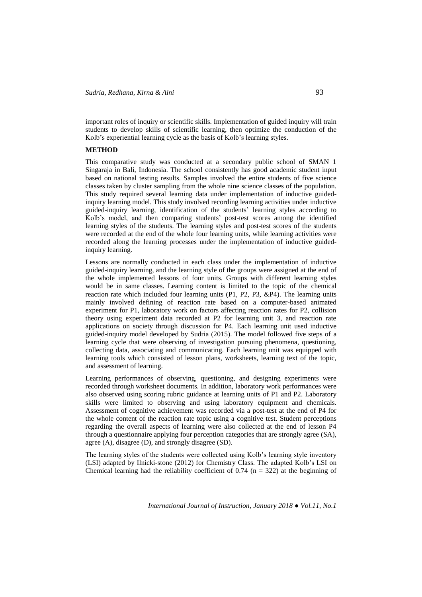important roles of inquiry or scientific skills. Implementation of guided inquiry will train students to develop skills of scientific learning, then optimize the conduction of the Kolb's experiential learning cycle as the basis of Kolb's learning styles.

#### **METHOD**

This comparative study was conducted at a secondary public school of SMAN 1 Singaraja in Bali, Indonesia. The school consistently has good academic student input based on national testing results. Samples involved the entire students of five science classes taken by cluster sampling from the whole nine science classes of the population. This study required several learning data under implementation of inductive guidedinquiry learning model. This study involved recording learning activities under inductive guided-inquiry learning, identification of the students' learning styles according to Kolb's model, and then comparing students' post-test scores among the identified learning styles of the students. The learning styles and post-test scores of the students were recorded at the end of the whole four learning units, while learning activities were recorded along the learning processes under the implementation of inductive guidedinquiry learning.

Lessons are normally conducted in each class under the implementation of inductive guided-inquiry learning, and the learning style of the groups were assigned at the end of the whole implemented lessons of four units. Groups with different learning styles would be in same classes. Learning content is limited to the topic of the chemical reaction rate which included four learning units (P1, P2, P3, &P4). The learning units mainly involved defining of reaction rate based on a computer-based animated experiment for P1, laboratory work on factors affecting reaction rates for P2, collision theory using experiment data recorded at P2 for learning unit 3, and reaction rate applications on society through discussion for P4. Each learning unit used inductive guided-inquiry model developed by Sudria (2015). The model followed five steps of a learning cycle that were observing of investigation pursuing phenomena, questioning, collecting data, associating and communicating. Each learning unit was equipped with learning tools which consisted of lesson plans, worksheets, learning text of the topic, and assessment of learning.

Learning performances of observing, questioning, and designing experiments were recorded through worksheet documents. In addition, laboratory work performances were also observed using scoring rubric guidance at learning units of P1 and P2. Laboratory skills were limited to observing and using laboratory equipment and chemicals. Assessment of cognitive achievement was recorded via a post-test at the end of P4 for the whole content of the reaction rate topic using a cognitive test. Student perceptions regarding the overall aspects of learning were also collected at the end of lesson P4 through a questionnaire applying four perception categories that are strongly agree (SA), agree (A), disagree (D), and strongly disagree (SD).

The learning styles of the students were collected using Kolb's learning style inventory (LSI) adapted by Ilnicki-stone (2012) for Chemistry Class. The adapted Kolb's LSI on Chemical learning had the reliability coefficient of  $0.74$  (n = 322) at the beginning of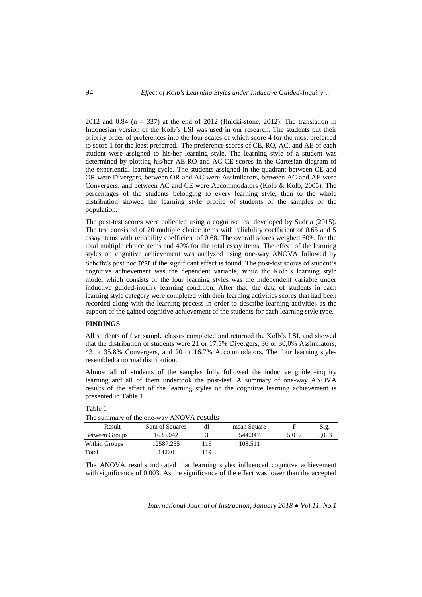2012 and 0.84 ( $n = 337$ ) at the end of 2012 (Ilnicki-stone, 2012). The translation in Indonesian version of the Kolb's LSI was used in our research. The students put their priority order of preferences into the four scales of which score 4 for the most preferred to score 1 for the least preferred. The preference scores of CE, RO, AC, and AE of each student were assigned to his/her learning style. The learning style of a student was determined by plotting his/her AE-RO and AC-CE scores in the Cartesian diagram of the experiential learning cycle. The students assigned in the quadrant between CE and OR were Divergers, between OR and AC were Assimilators, between AC and AE were Convergers, and between AC and CE were Accommodators (Kolb & Kolb, 2005). The percentages of the students belonging to every learning style, then to the whole distribution showed the learning style profile of students of the samples or the population.

The post-test scores were collected using a cognitive test developed by Sudria (2015). The test consisted of 20 multiple choice items with reliability coefficient of 0.65 and 5 essay items with reliability coefficient of 0.68. The overall scores weighed 60% for the total multiple choice items and 40% for the total essay items. The effect of the learning styles on cognitive achievement was analyzed using one-way ANOVA followed by Scheffé's post hoc test if the significant effect is found. The post-test scores of student's cognitive achievement was the dependent variable, while the Kolb's learning style model which consists of the four learning styles was the independent variable under inductive guided-inquiry learning condition. After that, the data of students in each learning style category were completed with their learning activities scores that had been recorded along with the learning process in order to describe learning activities as the support of the gained cognitive achievement of the students for each learning style type.

## **FINDINGS**

All students of five sample classes completed and returned the Kolb's LSI, and showed that the distribution of students were 21 or 17.5% Divergers, 36 or 30,0% Assimilators, 43 or 35.8% Convergers, and 20 or 16,7% Accommodators. The four learning styles resembled a normal distribution.

Almost all of students of the samples fully followed the inductive guided-inquiry learning and all of them undertook the post-test. A summary of one-way ANOVA results of the effect of the learning styles on the cognitive learning achievement is presented in Table 1.

| The summary of the one-way ANOVA results |                |     |             |       |       |
|------------------------------------------|----------------|-----|-------------|-------|-------|
| Result                                   | Sum of Squares | df  | mean Square |       | Sig.  |
| Between Groups                           | 1633.042       |     | 544.347     | 5.017 | 0,003 |
| Within Groups                            | 12587.255      | 116 | 108.511     |       |       |
| Total                                    | 14220          | 119 |             |       |       |

Table 1 The summary of the one-way ANOVA results

The ANOVA results indicated that learning styles influenced cognitive achievement with significance of 0.003. As the significance of the effect was lower than the accepted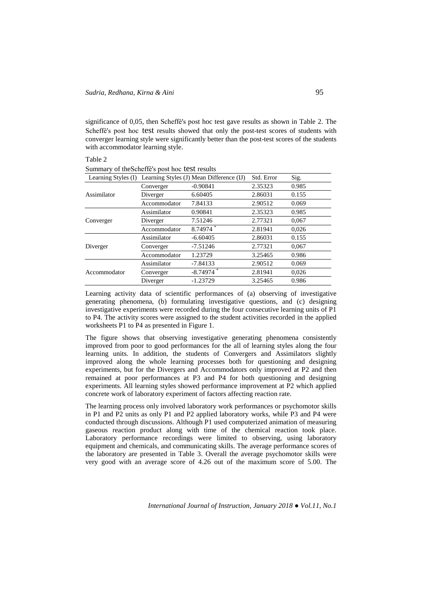significance of 0,05, then Scheffé's post hoc test gave results as shown in Table 2. The Scheffé's post hoc test results showed that only the post-test scores of students with converger learning style were significantly better than the post-test scores of the students with accommodator learning style.

Table 2

| Learning Styles (I) |              | Learning Styles (J) Mean Difference (IJ) | Std. Error | Sig.  |  |
|---------------------|--------------|------------------------------------------|------------|-------|--|
| Assimilator         | Converger    | $-0.90841$                               | 2.35323    | 0.985 |  |
|                     | Diverger     | 6.60405                                  | 2.86031    | 0.155 |  |
|                     | Accommodator | 7.84133                                  | 2.90512    | 0.069 |  |
| Converger           | Assimilator  | 0.90841                                  | 2.35323    | 0.985 |  |
|                     | Diverger     | 7.51246                                  | 2.77321    | 0,067 |  |
|                     | Accommodator | 8.74974                                  | 2.81941    | 0,026 |  |
| Diverger            | Assimilator  | $-6.60405$                               | 2.86031    | 0.155 |  |
|                     | Converger    | $-7.51246$                               | 2.77321    | 0,067 |  |
|                     | Accommodator | 1.23729                                  | 3.25465    | 0.986 |  |
| Accommodator        | Assimilator  | $-7.84133$                               | 2.90512    | 0.069 |  |
|                     | Converger    | $-8.74974$ *                             | 2.81941    | 0,026 |  |
|                     | Diverger     | $-1.23729$                               | 3.25465    | 0.986 |  |

Summary of theScheffé's post hoc test results

Learning activity data of scientific performances of (a) observing of investigative generating phenomena, (b) formulating investigative questions, and (c) designing investigative experiments were recorded during the four consecutive learning units of P1 to P4. The activity scores were assigned to the student activities recorded in the applied worksheets P1 to P4 as presented in Figure 1.

The figure shows that observing investigative generating phenomena consistently improved from poor to good performances for the all of learning styles along the four learning units. In addition, the students of Convergers and Assimilators slightly improved along the whole learning processes both for questioning and designing experiments, but for the Divergers and Accommodators only improved at P2 and then remained at poor performances at P3 and P4 for both questioning and designing experiments. All learning styles showed performance improvement at P2 which applied concrete work of laboratory experiment of factors affecting reaction rate.

The learning process only involved laboratory work performances or psychomotor skills in P1 and P2 units as only P1 and P2 applied laboratory works, while P3 and P4 were conducted through discussions. Although P1 used computerized animation of measuring gaseous reaction product along with time of the chemical reaction took place. Laboratory performance recordings were limited to observing, using laboratory equipment and chemicals, and communicating skills. The average performance scores of the laboratory are presented in Table 3. Overall the average psychomotor skills were very good with an average score of 4.26 out of the maximum score of 5.00. The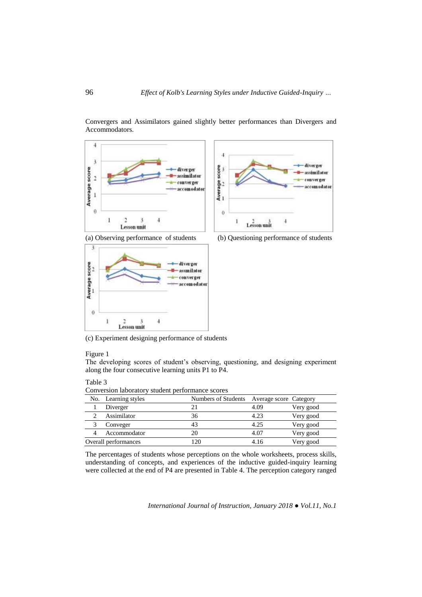Convergers and Assimilators gained slightly better performances than Divergers and Accommodators.

 $\overline{4}$ 

Average score

 $\ddot{\theta}$ 





(a) Observing performance of students (b) Questioning performance of students

 $\ddot{\phantom{0}}$ 

 $\frac{2}{\text{Lesson unit}}$ 

liverger

ssimilator

comodato

onverger

(c) Experiment designing performance of students

## Figure 1

The developing scores of student's observing, questioning, and designing experiment along the four consecutive learning units P1 to P4.

|--|--|

| Conversion laboratory student performance scores |  |  |  |
|--------------------------------------------------|--|--|--|
|--------------------------------------------------|--|--|--|

| No. Learning styles  | Numbers of Students Average score Category |      |           |
|----------------------|--------------------------------------------|------|-----------|
| Diverger             |                                            | 4.09 | Very good |
| Assimilator          | 36                                         | 4.23 | Very good |
| Conveger             |                                            | 4.25 | Very good |
| Accommodator         | 20                                         | 4.07 | Very good |
| Overall performances |                                            | 416  | Very good |

The percentages of students whose perceptions on the whole worksheets, process skills, understanding of concepts, and experiences of the inductive guided-inquiry learning were collected at the end of P4 are presented in Table 4. The perception category ranged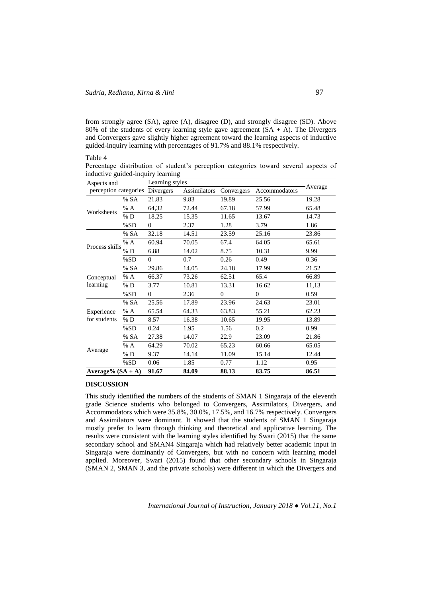from strongly agree (SA), agree (A), disagree (D), and strongly disagree (SD). Above 80% of the students of every learning style gave agreement  $(SA + A)$ . The Divergers and Convergers gave slightly higher agreement toward the learning aspects of inductive guided-inquiry learning with percentages of 91.7% and 88.1% respectively.

#### Table 4

Percentage distribution of student's perception categories toward several aspects of inductive guided-inquiry learning

| Aspects and<br>perception categories |        | Learning styles |              |              |               |         |
|--------------------------------------|--------|-----------------|--------------|--------------|---------------|---------|
|                                      |        | Divergers       | Assimilators | Convergers   | Accommodators | Average |
|                                      | % SA   | 21.83           | 9.83         | 19.89        | 25.56         | 19.28   |
| Worksheets                           | $\%$ A | 64,32           | 72.44        | 67.18        | 57.99         | 65.48   |
|                                      | % D    | 18.25           | 15.35        | 11.65        | 13.67         | 14.73   |
|                                      | %SD    | $\Omega$        | 2.37         | 1.28         | 3.79          | 1.86    |
|                                      | % SA   | 32.18           | 14.51        | 23.59        | 25.16         | 23.86   |
| Process skills                       | % A    | 60.94           | 70.05        | 67.4         | 64.05         | 65.61   |
|                                      | $\%$ D | 6.88            | 14.02        | 8.75         | 10.31         | 9.99    |
|                                      | %SD    | $\mathbf{0}$    | 0.7          | 0.26         | 0.49          | 0.36    |
|                                      | % SA   | 29.86           | 14.05        | 24.18        | 17.99         | 21.52   |
| Conceptual                           | % A    | 66.37           | 73.26        | 62.51        | 65.4          | 66.89   |
| learning                             | % D    | 3.77            | 10.81        | 13.31        | 16.62         | 11,13   |
|                                      | %SD    | $\overline{0}$  | 2.36         | $\mathbf{0}$ | $\mathbf{0}$  | 0.59    |
| Experience<br>for students           | % SA   | 25.56           | 17.89        | 23.96        | 24.63         | 23.01   |
|                                      | % A    | 65.54           | 64.33        | 63.83        | 55.21         | 62.23   |
|                                      | $\%$ D | 8.57            | 16.38        | 10.65        | 19.95         | 13.89   |
|                                      | %SD    | 0.24            | 1.95         | 1.56         | 0.2           | 0.99    |
| Average                              | % SA   | 27.38           | 14.07        | 22.9         | 23.09         | 21.86   |
|                                      | % A    | 64.29           | 70.02        | 65.23        | 60.66         | 65.05   |
|                                      | % D    | 9.37            | 14.14        | 11.09        | 15.14         | 12.44   |
|                                      | %SD    | 0.06            | 1.85         | 0.77         | 1.12          | 0.95    |
| Average% $(SA + A)$                  |        | 91.67           | 84.09        | 88.13        | 83.75         | 86.51   |

## **DISCUSSION**

This study identified the numbers of the students of SMAN 1 Singaraja of the eleventh grade Science students who belonged to Convergers, Assimilators, Divergers, and Accommodators which were 35.8%, 30.0%, 17.5%, and 16.7% respectively. Convergers and Assimilators were dominant. It showed that the students of SMAN 1 Singaraja mostly prefer to learn through thinking and theoretical and applicative learning. The results were consistent with the learning styles identified by Swari (2015) that the same secondary school and SMAN4 Singaraja which had relatively better academic input in Singaraja were dominantly of Convergers, but with no concern with learning model applied. Moreover, Swari (2015) found that other secondary schools in Singaraja (SMAN 2, SMAN 3, and the private schools) were different in which the Divergers and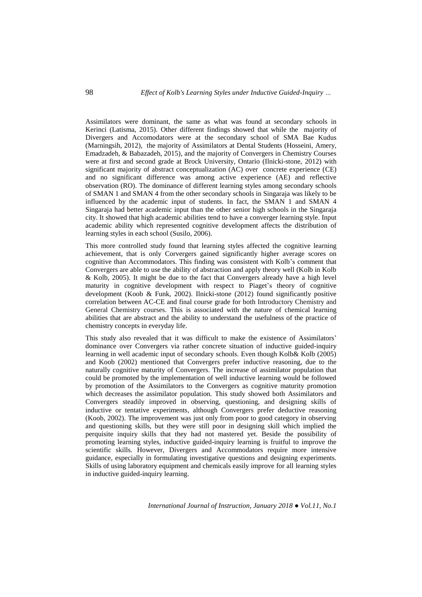Assimilators were dominant, the same as what was found at secondary schools in Kerinci (Latisma, 2015). Other different findings showed that while the majority of Divergers and Accomodators were at the secondary school of SMA Bae Kudus (Marningsih, 2012), the majority of Assimilators at Dental Students (Hosseini, Amery, Emadzadeh, & Babazadeh, 2015), and the majority of Convergers in Chemistry Courses were at first and second grade at Brock University, Ontario (Ilnicki-stone, 2012) with significant majority of abstract conceptualization (AC) over concrete experience (CE) and no significant difference was among active experience (AE) and reflective observation (RO). The dominance of different learning styles among secondary schools of SMAN 1 and SMAN 4 from the other secondary schools in Singaraja was likely to be influenced by the academic input of students. In fact, the SMAN 1 and SMAN 4 Singaraja had better academic input than the other senior high schools in the Singaraja city. It showed that high academic abilities tend to have a converger learning style. Input academic ability which represented cognitive development affects the distribution of learning styles in each school (Susilo, 2006).

This more controlled study found that learning styles affected the cognitive learning achievement, that is only Corvergers gained significantly higher average scores on cognitive than Accommodators. This finding was consistent with Kolb's comment that Convergers are able to use the ability of abstraction and apply theory well (Kolb in Kolb & Kolb, 2005). It might be due to the fact that Convergers already have a high level maturity in cognitive development with respect to Piaget's theory of cognitive development (Koob & Funk, 2002). Ilnicki-stone (2012) found significantly positive correlation between AC-CE and final course grade for both Introductory Chemistry and General Chemistry courses. This is associated with the nature of chemical learning abilities that are abstract and the ability to understand the usefulness of the practice of chemistry concepts in everyday life.

This study also revealed that it was difficult to make the existence of Assimilators' dominance over Convergers via rather concrete situation of inductive guided-inquiry learning in well academic input of secondary schools. Even though Kolb& Kolb (2005) and Koob (2002) mentioned that Convergers prefer inductive reasoning, due to the naturally cognitive maturity of Convergers. The increase of assimilator population that could be promoted by the implementation of well inductive learning would be followed by promotion of the Assimilators to the Convergers as cognitive maturity promotion which decreases the assimilator population. This study showed both Assimilators and Convergers steadily improved in observing, questioning, and designing skills of inductive or tentative experiments, although Convergers prefer deductive reasoning (Koob, 2002). The improvement was just only from poor to good category in observing and questioning skills, but they were still poor in designing skill which implied the perquisite inquiry skills that they had not mastered yet. Beside the possibility of promoting learning styles, inductive guided-inquiry learning is fruitful to improve the scientific skills. However, Divergers and Accommodators require more intensive guidance, especially in formulating investigative questions and designing experiments. Skills of using laboratory equipment and chemicals easily improve for all learning styles in inductive guided-inquiry learning.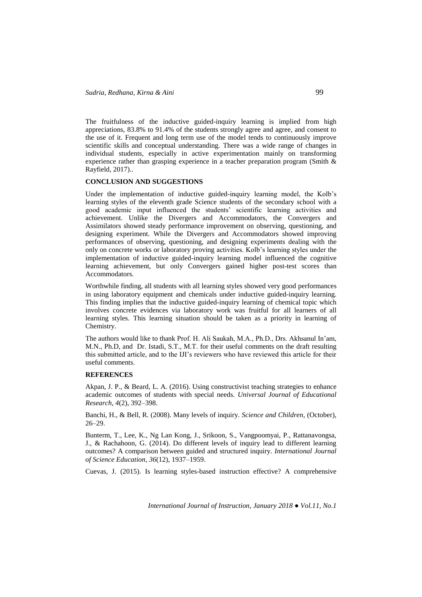The fruitfulness of the inductive guided-inquiry learning is implied from high appreciations, 83.8% to 91.4% of the students strongly agree and agree, and consent to the use of it. Frequent and long term use of the model tends to continuously improve scientific skills and conceptual understanding. There was a wide range of changes in individual students, especially in active experimentation mainly on transforming experience rather than grasping experience in a teacher preparation program (Smith  $\&$ Rayfield, 2017)..

### **CONCLUSION AND SUGGESTIONS**

Under the implementation of inductive guided-inquiry learning model, the Kolb's learning styles of the eleventh grade Science students of the secondary school with a good academic input influenced the students' scientific learning activities and achievement. Unlike the Divergers and Accommodators, the Convergers and Assimilators showed steady performance improvement on observing, questioning, and designing experiment. While the Divergers and Accommodators showed improving performances of observing, questioning, and designing experiments dealing with the only on concrete works or laboratory proving activities. Kolb's learning styles under the implementation of inductive guided-inquiry learning model influenced the cognitive learning achievement, but only Convergers gained higher post-test scores than Accommodators.

Worthwhile finding, all students with all learning styles showed very good performances in using laboratory equipment and chemicals under inductive guided-inquiry learning. This finding implies that the inductive guided-inquiry learning of chemical topic which involves concrete evidences via laboratory work was fruitful for all learners of all learning styles. This learning situation should be taken as a priority in learning of Chemistry.

The authors would like to thank Prof. H. Ali Saukah, M.A., Ph.D., Drs. Akhsanul In'am, M.N., Ph.D, and Dr. Istadi, S.T., M.T. for their useful comments on the draft resulting this submitted article, and to the IJI's reviewers who have reviewed this article for their useful comments.

#### **REFERENCES**

Akpan, J. P., & Beard, L. A. (2016). Using constructivist teaching strategies to enhance academic outcomes of students with special needs. *Universal Journal of Educational Research*, *4*(2), 392–398.

Banchi, H., & Bell, R. (2008). Many levels of inquiry. *Science and Children*, (October), 26–29.

Bunterm, T., Lee, K., Ng Lan Kong, J., Srikoon, S., Vangpoomyai, P., Rattanavongsa, J., & Rachahoon, G. (2014). Do different levels of inquiry lead to different learning outcomes? A comparison between guided and structured inquiry. *International Journal of Science Education*, *36*(12), 1937–1959.

Cuevas, J. (2015). Is learning styles-based instruction effective? A comprehensive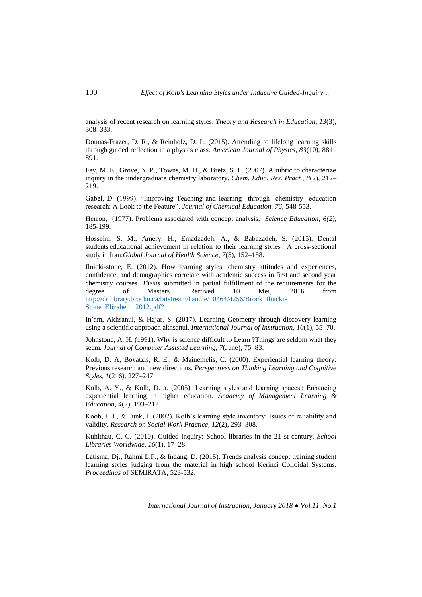analysis of recent research on learning styles. *Theory and Research in Education*, *13*(3), 308–333.

Dounas-Frazer, D. R., & Reinholz, D. L. (2015). Attending to lifelong learning skills through guided reflection in a physics class. *American Journal of Physics*, *83*(10), 881– 891.

Fay, M. E., Grove, N. P., Towns, M. H., & Bretz, S. L. (2007). A rubric to characterize inquiry in the undergraduate chemistry laboratory. *Chem. Educ. Res. Pract.*, *8*(2), 212– 219.

Gabel, D. (1999). "Improving Teaching and learning through chemistry education research: A Look to the Feature". *Journal of Chemical Education. 76,* 548-553.

Herron, (1977). Problems associated with concept analysis, *Science Education*, *6(2)*, 185-199.

Hosseini, S. M., Amery, H., Emadzadeh, A., & Babazadeh, S. (2015). Dental students'educational achievement in relation to their learning styles : A cross-sectional study in Iran.*Global Journal of Health Science*, *7*(5), 152–158.

Ilnicki-stone, E. (2012). How learning styles, chemistry attitudes and experiences, confidence, and demographics correlate with academic success in first and second year chemistry courses. *Thesis* submitted in partial fulfillment of the requirements for the degree of Masters. Rertived 10 Mei, 2016 from degree of Masters. Rertived 10 Mei, 2016 from http://dr.library.brocku.ca/bitstream/handle/10464/4256/Brock\_Ilnicki-Stone\_Elizabeth\_2012.pdf?

In'am, Akhsanul, & Hajar, S. (2017). Learning Geometry through discovery learning using a scientific approach akhsanul. *International Journal of Instruction*, *10*(1), 55–70.

Johnstone, A. H. (1991). Why is science difficult to Learn ?Things are seldom what they seem. *Journal of Computer Assisted Learning*, *7*(June), 75–83.

Kolb, D. A, Boyatzis, R. E., & Mainemelis, C. (2000). Experiential learning theory: Previous research and new directions. *Perspectives on Thinking Learning and Cognitive Styles*, *1*(216), 227–247.

Kolb, A. Y., & Kolb, D. a. (2005). Learning styles and learning spaces : Enhancing experiential learning in higher education. *Academy of Management Learning & Education*, *4*(2), 193–212.

Koob, J. J., & Funk, J. (2002). Kolb's learning style inventory: Issues of reliability and validity. *Research on Social Work Practice*, *12*(2), 293–308.

Kuhlthau, C. C. (2010). Guided inquiry: School libraries in the 21 st century. *School Libraries Worldwide*, *16*(1), 17–28.

Latisma, Dj., Rahmi L.F., & Indang, D. (2015). Trends analysis concept training student learning styles judging from the material in high school Kerinci Colloidal Systems. *Proceedings* of SEMIRATA, 523-532.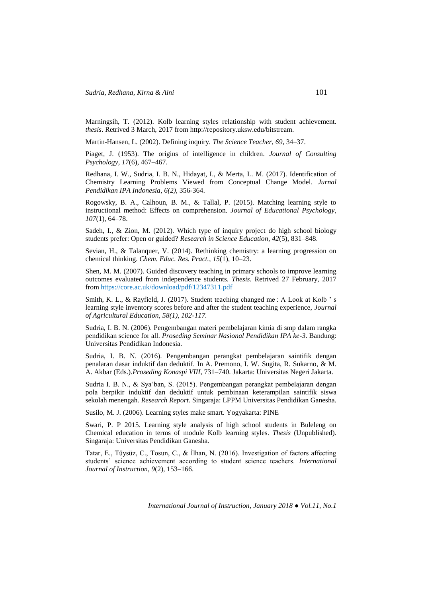Marningsih, T. (2012). Kolb learning styles relationship with student achievement. *thesis*. Retrived 3 March, 2017 from http://repository.uksw.edu/bitstream.

Martin-Hansen, L. (2002). Defining inquiry. *The Science Teacher*, *69*, 34–37.

Piaget, J. (1953). The origins of intelligence in children. *Journal of Consulting Psychology*, *17*(6), 467–467.

Redhana, I. W., Sudria, I. B. N., Hidayat, I., & Merta, L. M. (2017). Identification of Chemistry Learning Problems Viewed from Conceptual Change Model. *Jurnal Pendidikan IPA Indonesia*, *6(2)*, 356-364.

Rogowsky, B. A., Calhoun, B. M., & Tallal, P. (2015). Matching learning style to instructional method: Effects on comprehension. *Journal of Educational Psychology*, *107*(1), 64–78.

Sadeh, I., & Zion, M. (2012). Which type of inquiry project do high school biology students prefer: Open or guided? *Research in Science Education*, *42*(5), 831–848.

Sevian, H., & Talanquer, V. (2014). Rethinking chemistry: a learning progression on chemical thinking. *Chem. Educ. Res. Pract.*, *15*(1), 10–23.

Shen, M. M. (2007). Guided discovery teaching in primary schools to improve learning outcomes evaluated from independence students. *Thesis*. Retrived 27 February, 2017 from https://core.ac.uk/download/pdf/12347311.pdf

Smith, K. L., & Rayfield, J. (2017). Student teaching changed me : A Look at Kolb ' s learning style inventory scores before and after the student teaching experience, *Journal of Agricultural Education, 58(1), 102-117.*

Sudria, I. B. N. (2006). Pengembangan materi pembelajaran kimia di smp dalam rangka pendidikan science for all. *Proseding Seminar Nasional Pendidikan IPA ke-3*. Bandung: Universitas Pendidikan Indonesia.

Sudria, I. B. N. (2016). Pengembangan perangkat pembelajaran saintifik dengan penalaran dasar induktif dan deduktif. In A. Premono, I. W. Sugita, R. Sukarno, & M. A. Akbar (Eds.).*Proseding Konaspi VIII*, 731–740. Jakarta: Universitas Negeri Jakarta.

Sudria I. B. N., & Sya'ban, S. (2015). Pengembangan perangkat pembelajaran dengan pola berpikir induktif dan deduktif untuk pembinaan keterampilan saintifik siswa sekolah menengah. *Research Report*. Singaraja: LPPM Universitas Pendidikan Ganesha.

Susilo, M. J. (2006). Learning styles make smart. Yogyakarta: PINE

Swari, P. P 2015. Learning style analysis of high school students in Buleleng on Chemical education in terms of module Kolb learning styles. *Thesis* (Unpublished). Singaraja: Universitas Pendidikan Ganesha.

Tatar, E., Tüysüz, C., Tosun, C., & İlhan, N. (2016). Investigation of factors affecting students' science achievement according to student science teachers. *International Journal of Instruction*, *9*(2), 153–166.